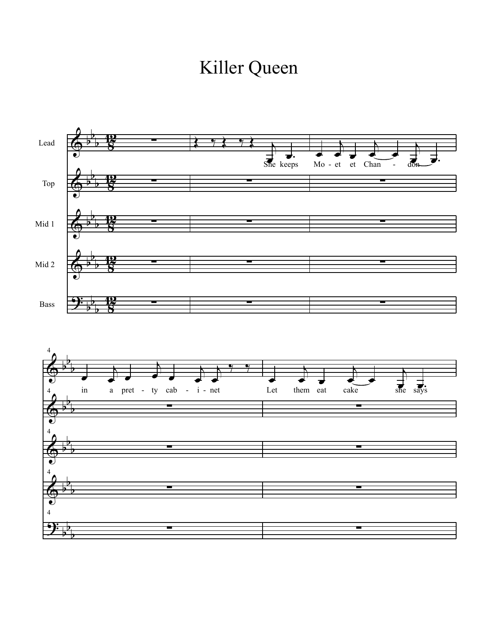## Killer Queen



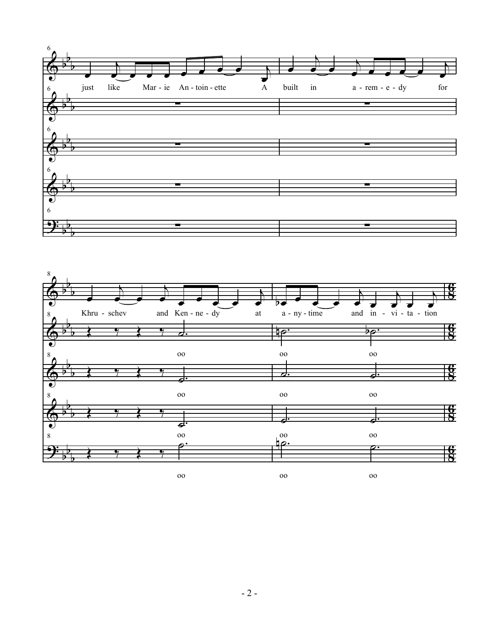



 $-2 -$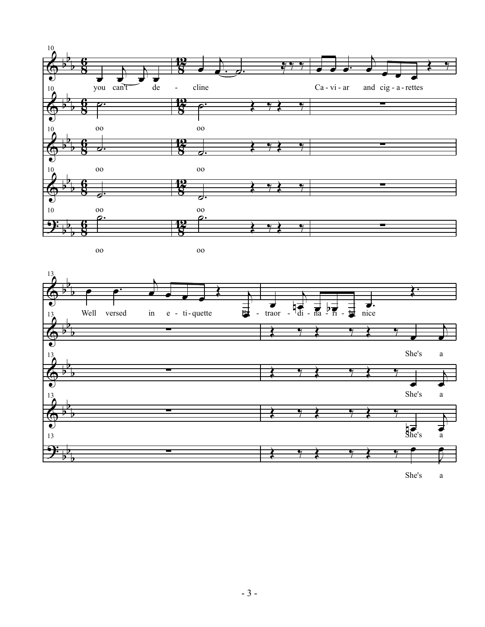



She's a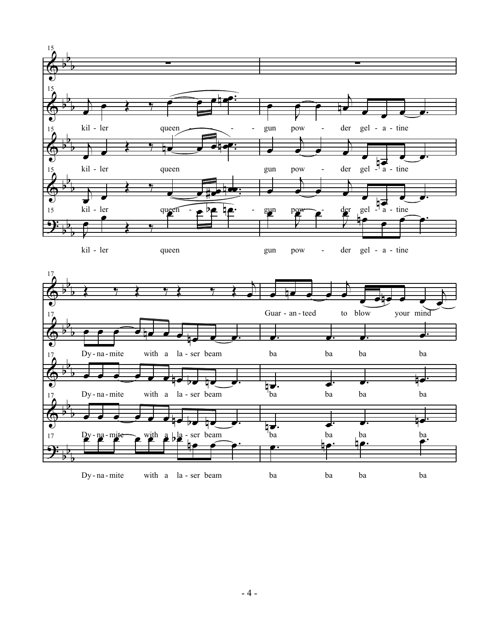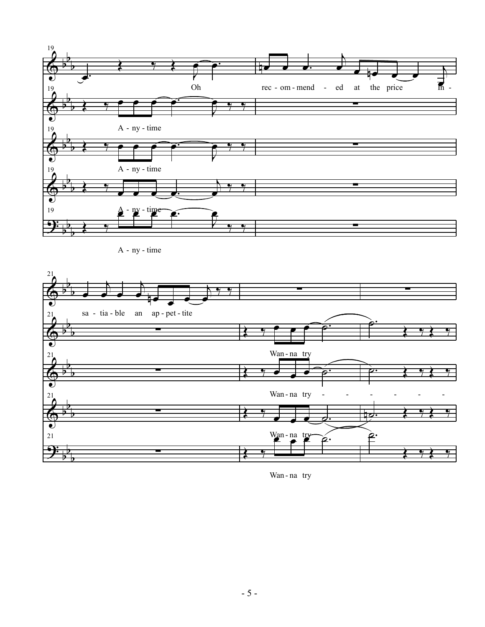

A - ny - time



Wan-na try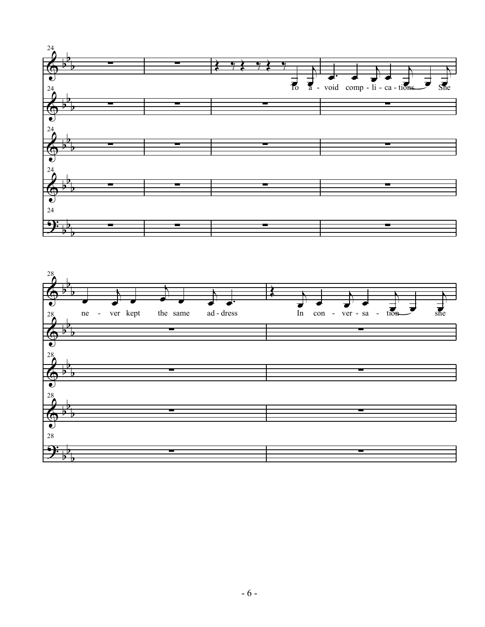

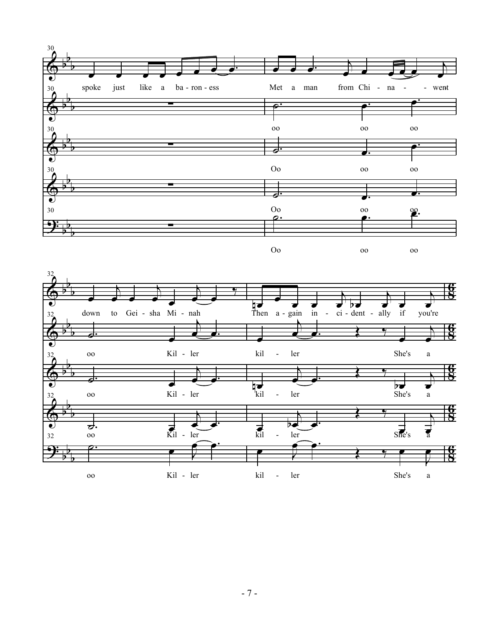

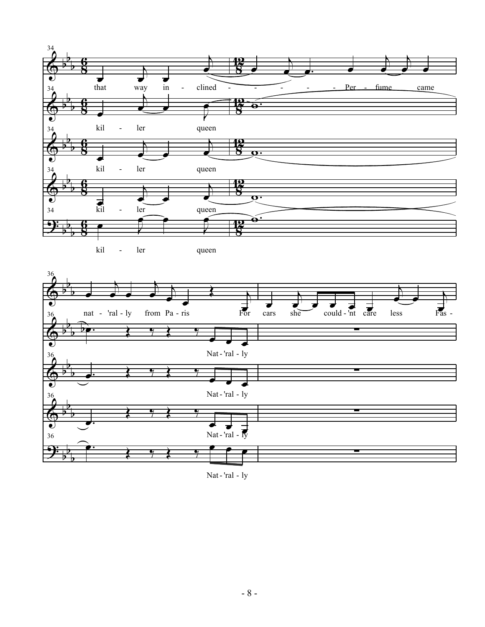

Nat - 'ral - ly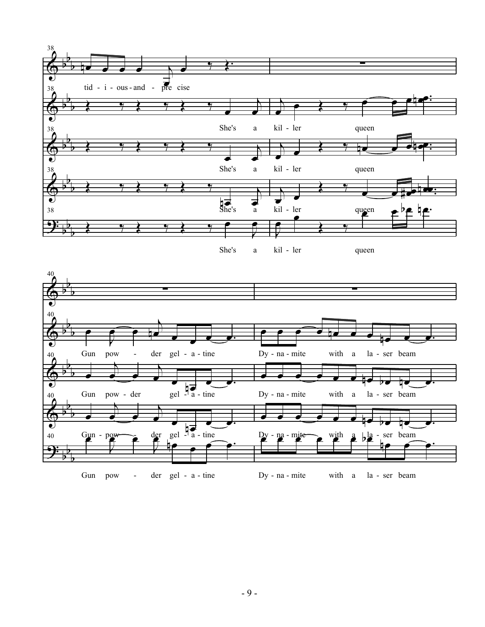

Gun pow - der gel - a - tine Dy - na - mite with a la - ser beam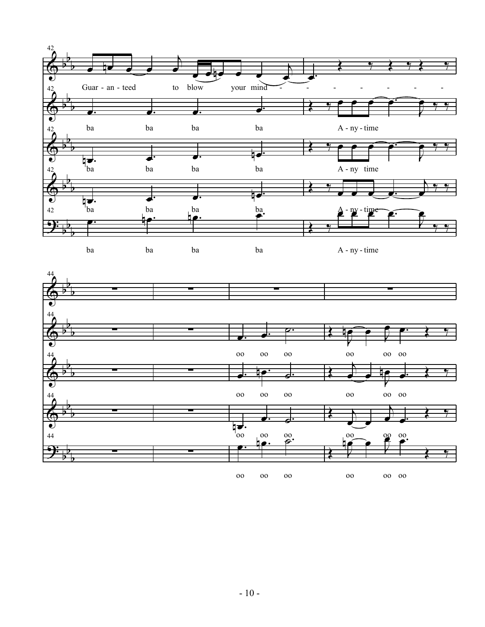

oo oo oo

oo oo oo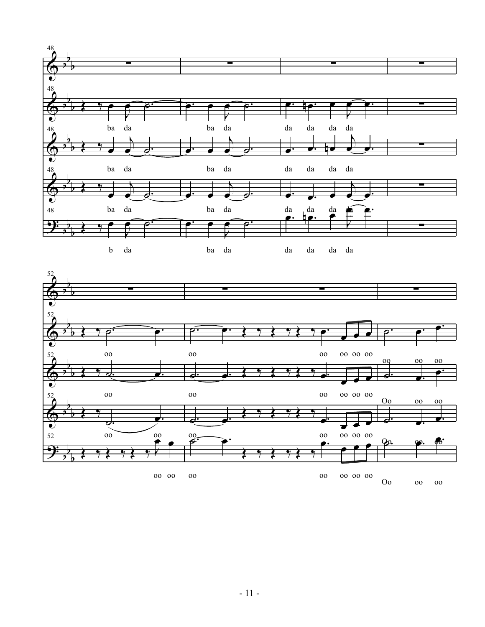

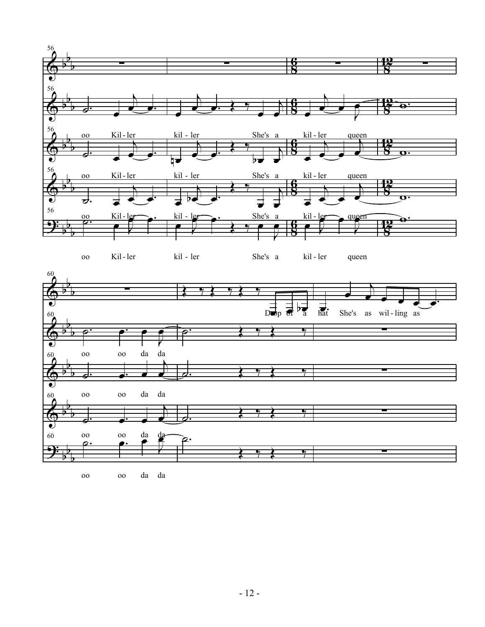



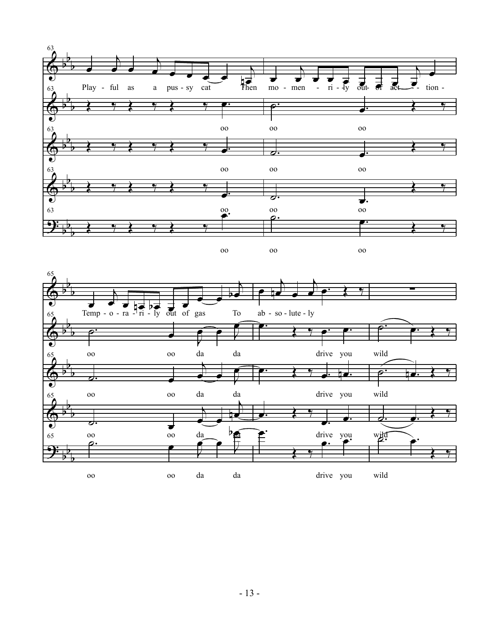

oo



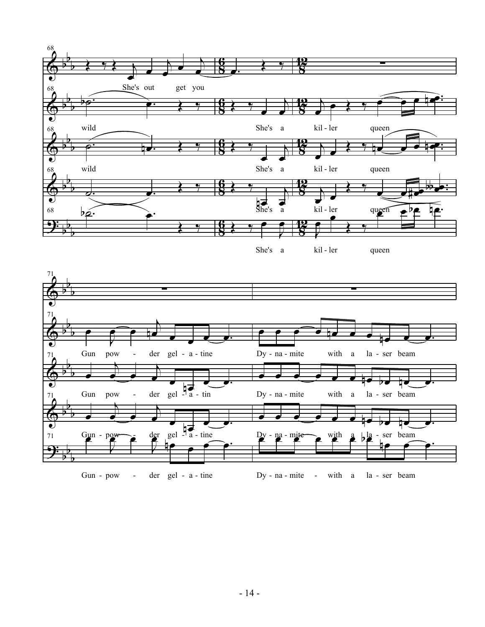

Gun - pow - der gel - a - tine Dy - na - mite - with a la - ser beam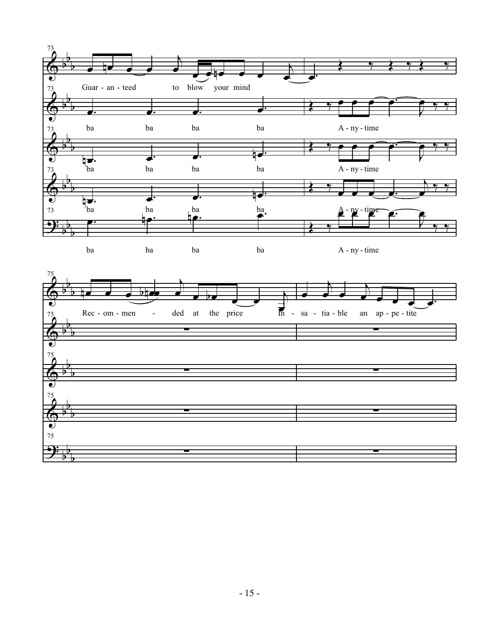